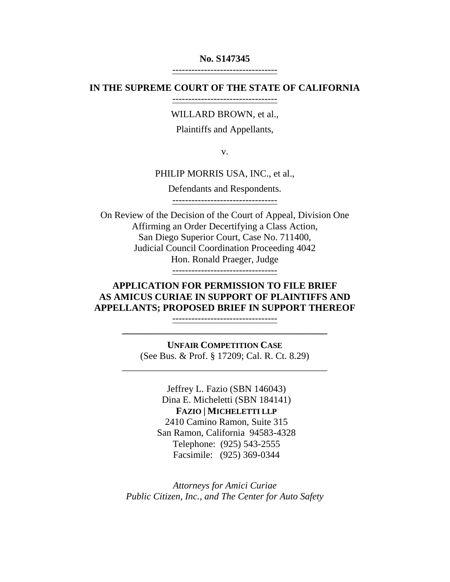#### **No. S147345**

---------------------------------

#### **IN THE SUPREME COURT OF THE STATE OF CALIFORNIA**

---------------------------------

WILLARD BROWN, et al.,

Plaintiffs and Appellants,

v.

PHILIP MORRIS USA, INC., et al.,

Defendants and Respondents.

---------------------------------

On Review of the Decision of the Court of Appeal, Division One Affirming an Order Decertifying a Class Action, San Diego Superior Court, Case No. 711400, Judicial Council Coordination Proceeding 4042 Hon. Ronald Praeger, Judge

---------------------------------

# **APPLICATION FOR PERMISSION TO FILE BRIEF AS AMICUS CURIAE IN SUPPORT OF PLAINTIFFS AND APPELLANTS; PROPOSED BRIEF IN SUPPORT THEREOF**

--------------------------------- **\_\_\_\_\_\_\_\_\_\_\_\_\_\_\_\_\_\_\_\_\_\_\_\_\_\_\_\_\_\_\_\_\_\_\_\_\_\_\_\_\_\_\_**

**UNFAIR COMPETITION CASE** (See Bus. & Prof. § 17209; Cal. R. Ct. 8.29)

\_\_\_\_\_\_\_\_\_\_\_\_\_\_\_\_\_\_\_\_\_\_\_\_\_\_\_\_\_\_\_\_\_\_\_\_\_\_\_\_\_\_\_

Jeffrey L. Fazio (SBN 146043) Dina E. Micheletti (SBN 184141) **FAZIO | MICHELETTI LLP** 2410 Camino Ramon, Suite 315 San Ramon, California 94583-4328 Telephone: (925) 543-2555 Facsimile: (925) 369-0344

*Attorneys for Amici Curiae Public Citizen, Inc., and The Center for Auto Safety*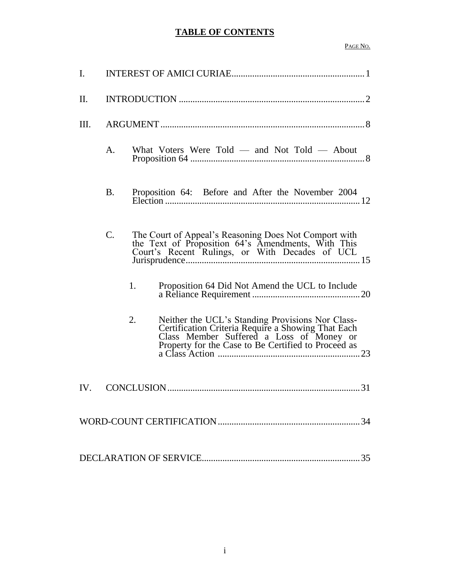# **TABLE OF CONTENTS**

#### PAGE NO.

| I.              |                                                                                                                                                                                                                 |
|-----------------|-----------------------------------------------------------------------------------------------------------------------------------------------------------------------------------------------------------------|
| $\mathbf{II}$ . |                                                                                                                                                                                                                 |
| Ш.              |                                                                                                                                                                                                                 |
|                 | What Voters Were Told — and Not Told — About<br>Α.                                                                                                                                                              |
|                 | Proposition 64: Before and After the November 2004<br><b>B.</b>                                                                                                                                                 |
|                 | The Court of Appeal's Reasoning Does Not Comport with<br>C.<br>the Text of Proposition 64's Amendments, With This<br>Court's Recent Rulings, or With Decades of UCL                                             |
|                 | 1.<br>Proposition 64 Did Not Amend the UCL to Include                                                                                                                                                           |
|                 | Neither the UCL's Standing Provisions Nor Class-<br>2.<br>Certification Criteria Require a Showing That Each<br>Class Member Suffered a Loss of Money or<br>Property for the Case to Be Certified to Proceed as |
| IV.             |                                                                                                                                                                                                                 |
|                 |                                                                                                                                                                                                                 |
|                 |                                                                                                                                                                                                                 |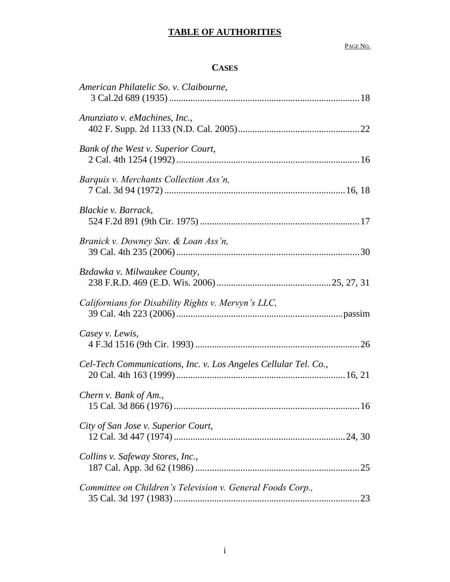PAGE NO.

# **CASES**

| American Philatelic So. v. Claibourne,                          |
|-----------------------------------------------------------------|
| Anunziato v. eMachines, Inc.,                                   |
| Bank of the West v. Superior Court,                             |
| Barquis v. Merchants Collection Ass'n,                          |
| Blackie v. Barrack,                                             |
| Branick v. Downey Sav. & Loan Ass'n,                            |
| Bzdawka v. Milwaukee County,                                    |
| Californians for Disability Rights v. Mervyn's LLC,             |
| Casey v. Lewis,                                                 |
| Cel-Tech Communications, Inc. v. Los Angeles Cellular Tel. Co., |
| Chern v. Bank of Am.,                                           |
| City of San Jose v. Superior Court,                             |
| Collins v. Safeway Stores, Inc.,                                |
| Committee on Children's Television v. General Foods Corp.,      |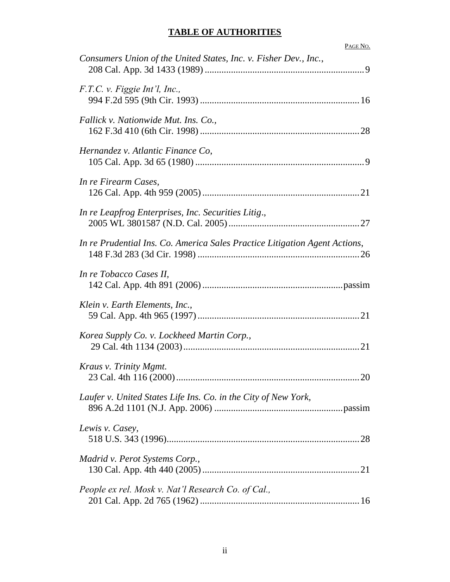| PAGE NO.                                                                   |
|----------------------------------------------------------------------------|
| Consumers Union of the United States, Inc. v. Fisher Dev., Inc.,           |
| F.T.C. v. Figgie Int'l, Inc.,                                              |
| Fallick v. Nationwide Mut. Ins. Co.,                                       |
| Hernandez v. Atlantic Finance Co,                                          |
| In re Firearm Cases,                                                       |
| In re Leapfrog Enterprises, Inc. Securities Litig.,                        |
| In re Prudential Ins. Co. America Sales Practice Litigation Agent Actions, |
| In re Tobacco Cases II,                                                    |
| Klein v. Earth Elements, Inc.,                                             |
| Korea Supply Co. v. Lockheed Martin Corp.,                                 |
| Kraus v. Trinity Mgmt.                                                     |
| Laufer v. United States Life Ins. Co. in the City of New York,             |
| Lewis v. Casey,                                                            |
| Madrid v. Perot Systems Corp.,                                             |
| People ex rel. Mosk v. Nat'l Research Co. of Cal.,                         |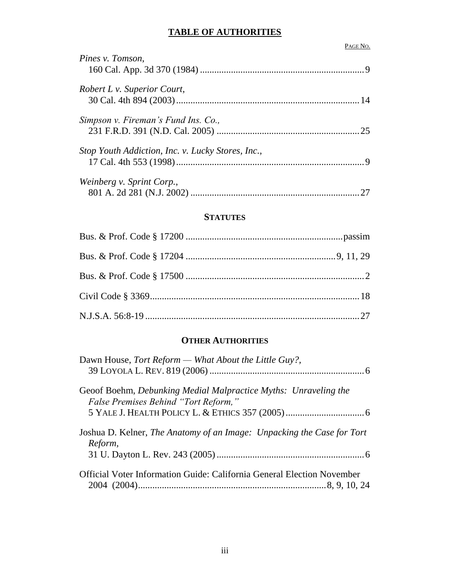PAGE NO.

# *Pines v. Tomson*, 160 Cal. App. 3d 370 (1984) .....................................................................9 *Robert L v. Superior Court*, 30 Cal. 4th 894 (2003).............................................................................14 *Simpson v. Fireman's Fund Ins. Co.,*  231 F.R.D. 391 (N.D. Cal. 2005) ............................................................25 *Stop Youth Addiction, Inc. v. Lucky Stores, Inc.,* 17 Cal. 4th 553 (1998)...............................................................................9 *Weinberg v. Sprint Corp.*, 801 A. 2d 281 (N.J. 2002) .......................................................................27

#### **STATUTES**

#### **OTHER AUTHORITIES**

| Dawn House, Tort Reform — What About the Little Guy?,                                                   |  |
|---------------------------------------------------------------------------------------------------------|--|
| Geoof Boehm, Debunking Medial Malpractice Myths: Unraveling the<br>False Premises Behind "Tort Reform," |  |
|                                                                                                         |  |
| Joshua D. Kelner, The Anatomy of an Image: Unpacking the Case for Tort<br>Reform,                       |  |
|                                                                                                         |  |
| Official Voter Information Guide: California General Election November                                  |  |
|                                                                                                         |  |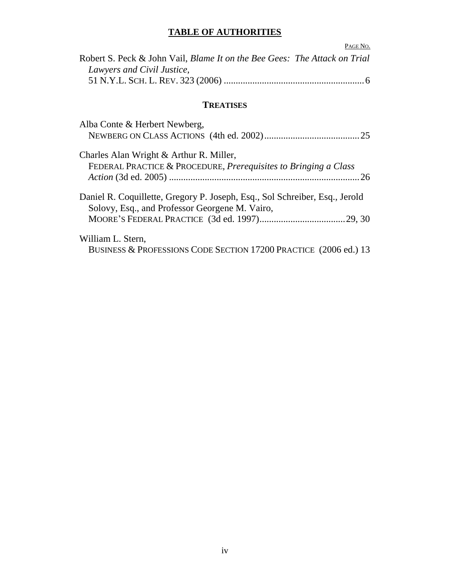|                                                                                  | PAGE NO. |
|----------------------------------------------------------------------------------|----------|
| Robert S. Peck & John Vail, <i>Blame It on the Bee Gees: The Attack on Trial</i> |          |
| Lawyers and Civil Justice,                                                       |          |
|                                                                                  |          |

# **TREATISES**

| Alba Conte & Herbert Newberg,                                                                                                 |  |
|-------------------------------------------------------------------------------------------------------------------------------|--|
| Charles Alan Wright & Arthur R. Miller,<br>FEDERAL PRACTICE & PROCEDURE, Prerequisites to Bringing a Class                    |  |
| Daniel R. Coquillette, Gregory P. Joseph, Esq., Sol Schreiber, Esq., Jerold<br>Solovy, Esq., and Professor Georgene M. Vairo, |  |
| William L. Stern,<br>BUSINESS & PROFESSIONS CODE SECTION 17200 PRACTICE (2006 ed.) 13                                         |  |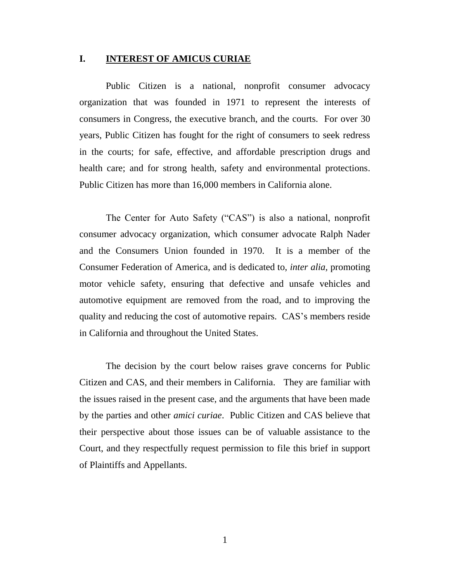#### **I. INTEREST OF AMICUS CURIAE**

Public Citizen is a national, nonprofit consumer advocacy organization that was founded in 1971 to represent the interests of consumers in Congress, the executive branch, and the courts. For over 30 years, Public Citizen has fought for the right of consumers to seek redress in the courts; for safe, effective, and affordable prescription drugs and health care; and for strong health, safety and environmental protections. Public Citizen has more than 16,000 members in California alone.

The Center for Auto Safety ("CAS") is also a national, nonprofit consumer advocacy organization, which consumer advocate Ralph Nader and the Consumers Union founded in 1970. It is a member of the Consumer Federation of America, and is dedicated to, *inter alia,* promoting motor vehicle safety, ensuring that defective and unsafe vehicles and automotive equipment are removed from the road, and to improving the quality and reducing the cost of automotive repairs. CAS"s members reside in California and throughout the United States.

The decision by the court below raises grave concerns for Public Citizen and CAS, and their members in California. They are familiar with the issues raised in the present case, and the arguments that have been made by the parties and other *amici curiae*. Public Citizen and CAS believe that their perspective about those issues can be of valuable assistance to the Court, and they respectfully request permission to file this brief in support of Plaintiffs and Appellants.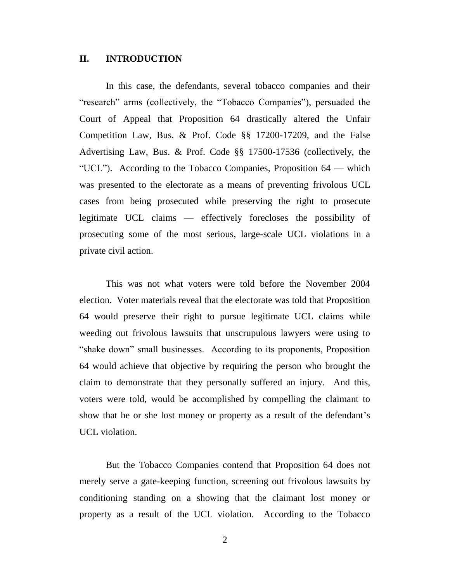#### **II. INTRODUCTION**

In this case, the defendants, several tobacco companies and their "research" arms (collectively, the "Tobacco Companies"), persuaded the Court of Appeal that Proposition 64 drastically altered the Unfair Competition Law, Bus. & Prof. Code §§ 17200-17209, and the False Advertising Law, Bus. & Prof. Code §§ 17500-17536 (collectively, the "UCL"). According to the Tobacco Companies, Proposition 64 — which was presented to the electorate as a means of preventing frivolous UCL cases from being prosecuted while preserving the right to prosecute legitimate UCL claims — effectively forecloses the possibility of prosecuting some of the most serious, large-scale UCL violations in a private civil action.

This was not what voters were told before the November 2004 election. Voter materials reveal that the electorate was told that Proposition 64 would preserve their right to pursue legitimate UCL claims while weeding out frivolous lawsuits that unscrupulous lawyers were using to "shake down" small businesses. According to its proponents, Proposition 64 would achieve that objective by requiring the person who brought the claim to demonstrate that they personally suffered an injury. And this, voters were told, would be accomplished by compelling the claimant to show that he or she lost money or property as a result of the defendant's UCL violation.

But the Tobacco Companies contend that Proposition 64 does not merely serve a gate-keeping function, screening out frivolous lawsuits by conditioning standing on a showing that the claimant lost money or property as a result of the UCL violation. According to the Tobacco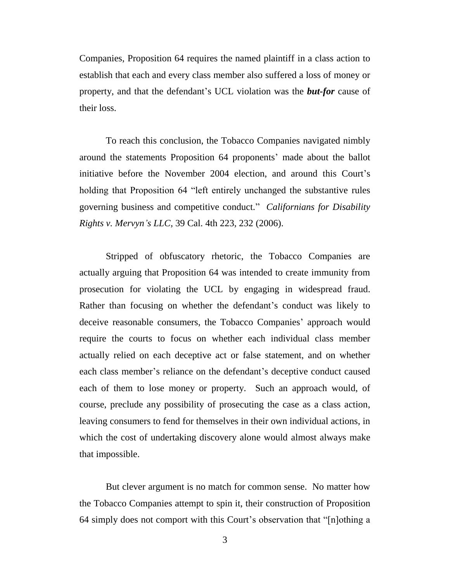Companies, Proposition 64 requires the named plaintiff in a class action to establish that each and every class member also suffered a loss of money or property, and that the defendant"s UCL violation was the *but-for* cause of their loss.

To reach this conclusion, the Tobacco Companies navigated nimbly around the statements Proposition 64 proponents" made about the ballot initiative before the November 2004 election, and around this Court's holding that Proposition 64 "left entirely unchanged the substantive rules governing business and competitive conduct." *Californians for Disability Rights v. Mervyn's LLC,* 39 Cal. 4th 223, 232 (2006).

Stripped of obfuscatory rhetoric, the Tobacco Companies are actually arguing that Proposition 64 was intended to create immunity from prosecution for violating the UCL by engaging in widespread fraud. Rather than focusing on whether the defendant's conduct was likely to deceive reasonable consumers, the Tobacco Companies' approach would require the courts to focus on whether each individual class member actually relied on each deceptive act or false statement, and on whether each class member's reliance on the defendant's deceptive conduct caused each of them to lose money or property. Such an approach would, of course, preclude any possibility of prosecuting the case as a class action, leaving consumers to fend for themselves in their own individual actions, in which the cost of undertaking discovery alone would almost always make that impossible.

But clever argument is no match for common sense. No matter how the Tobacco Companies attempt to spin it, their construction of Proposition 64 simply does not comport with this Court"s observation that "[n]othing a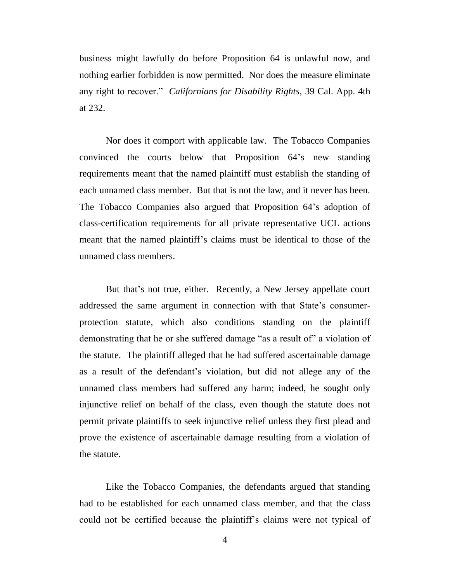business might lawfully do before Proposition 64 is unlawful now, and nothing earlier forbidden is now permitted. Nor does the measure eliminate any right to recover." *Californians for Disability Rights,* 39 Cal. App. 4th at 232.

Nor does it comport with applicable law. The Tobacco Companies convinced the courts below that Proposition 64"s new standing requirements meant that the named plaintiff must establish the standing of each unnamed class member. But that is not the law, and it never has been. The Tobacco Companies also argued that Proposition 64"s adoption of class-certification requirements for all private representative UCL actions meant that the named plaintiff"s claims must be identical to those of the unnamed class members.

But that's not true, either. Recently, a New Jersey appellate court addressed the same argument in connection with that State"s consumerprotection statute, which also conditions standing on the plaintiff demonstrating that he or she suffered damage "as a result of" a violation of the statute. The plaintiff alleged that he had suffered ascertainable damage as a result of the defendant"s violation, but did not allege any of the unnamed class members had suffered any harm; indeed, he sought only injunctive relief on behalf of the class, even though the statute does not permit private plaintiffs to seek injunctive relief unless they first plead and prove the existence of ascertainable damage resulting from a violation of the statute.

Like the Tobacco Companies, the defendants argued that standing had to be established for each unnamed class member, and that the class could not be certified because the plaintiff"s claims were not typical of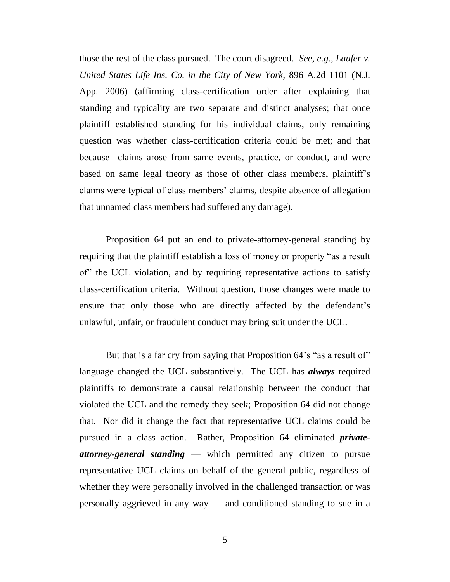those the rest of the class pursued. The court disagreed. *See, e.g., Laufer v. United States Life Ins. Co. in the City of New York,* 896 A.2d 1101 (N.J. App. 2006) (affirming class-certification order after explaining that standing and typicality are two separate and distinct analyses; that once plaintiff established standing for his individual claims, only remaining question was whether class-certification criteria could be met; and that because claims arose from same events, practice, or conduct, and were based on same legal theory as those of other class members, plaintiff's claims were typical of class members" claims, despite absence of allegation that unnamed class members had suffered any damage).

Proposition 64 put an end to private-attorney-general standing by requiring that the plaintiff establish a loss of money or property "as a result of" the UCL violation, and by requiring representative actions to satisfy class-certification criteria. Without question, those changes were made to ensure that only those who are directly affected by the defendant's unlawful, unfair, or fraudulent conduct may bring suit under the UCL.

But that is a far cry from saying that Proposition 64's "as a result of" language changed the UCL substantively. The UCL has *always* required plaintiffs to demonstrate a causal relationship between the conduct that violated the UCL and the remedy they seek; Proposition 64 did not change that. Nor did it change the fact that representative UCL claims could be pursued in a class action. Rather, Proposition 64 eliminated *privateattorney-general standing* — which permitted any citizen to pursue representative UCL claims on behalf of the general public, regardless of whether they were personally involved in the challenged transaction or was personally aggrieved in any way — and conditioned standing to sue in a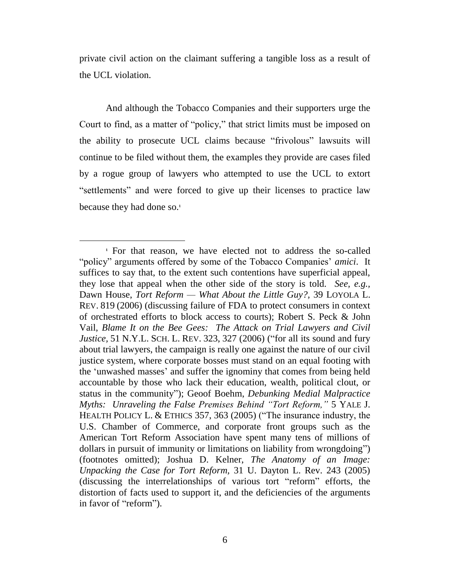private civil action on the claimant suffering a tangible loss as a result of the UCL violation.

And although the Tobacco Companies and their supporters urge the Court to find, as a matter of "policy," that strict limits must be imposed on the ability to prosecute UCL claims because "frivolous" lawsuits will continue to be filed without them, the examples they provide are cases filed by a rogue group of lawyers who attempted to use the UCL to extort "settlements" and were forced to give up their licenses to practice law because they had done so. **1**

 $\overline{a}$ 

**<sup>1</sup>** For that reason, we have elected not to address the so-called "policy" arguments offered by some of the Tobacco Companies' *amici*. It suffices to say that, to the extent such contentions have superficial appeal, they lose that appeal when the other side of the story is told. *See, e.g.,*  Dawn House, *Tort Reform — What About the Little Guy?,* 39 LOYOLA L. REV. 819 (2006) (discussing failure of FDA to protect consumers in context of orchestrated efforts to block access to courts); Robert S. Peck & John Vail, *Blame It on the Bee Gees: The Attack on Trial Lawyers and Civil Justice,* 51 N.Y.L. SCH. L. REV. 323, 327 (2006) ("for all its sound and fury about trial lawyers, the campaign is really one against the nature of our civil justice system, where corporate bosses must stand on an equal footing with the "unwashed masses" and suffer the ignominy that comes from being held accountable by those who lack their education, wealth, political clout, or status in the community"); Geoof Boehm, *Debunking Medial Malpractice Myths: Unraveling the False Premises Behind "Tort Reform,"* 5 YALE J. HEALTH POLICY L. & ETHICS 357, 363 (2005) ("The insurance industry, the U.S. Chamber of Commerce, and corporate front groups such as the American Tort Reform Association have spent many tens of millions of dollars in pursuit of immunity or limitations on liability from wrongdoing") (footnotes omitted); Joshua D. Kelner, *The Anatomy of an Image: Unpacking the Case for Tort Reform,* 31 U. Dayton L. Rev. 243 (2005) (discussing the interrelationships of various tort "reform" efforts, the distortion of facts used to support it, and the deficiencies of the arguments in favor of "reform").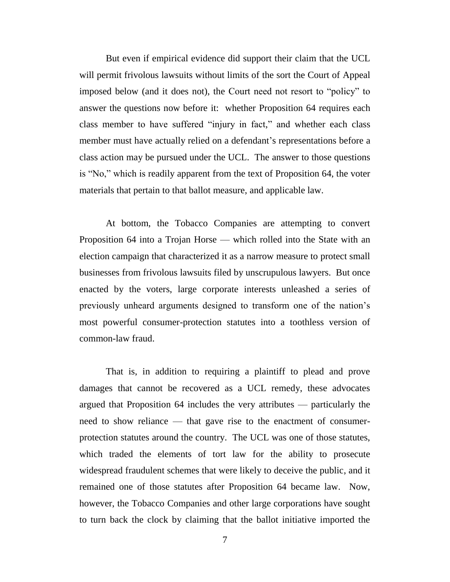But even if empirical evidence did support their claim that the UCL will permit frivolous lawsuits without limits of the sort the Court of Appeal imposed below (and it does not), the Court need not resort to "policy" to answer the questions now before it: whether Proposition 64 requires each class member to have suffered "injury in fact," and whether each class member must have actually relied on a defendant's representations before a class action may be pursued under the UCL. The answer to those questions is "No," which is readily apparent from the text of Proposition 64, the voter materials that pertain to that ballot measure, and applicable law.

At bottom, the Tobacco Companies are attempting to convert Proposition 64 into a Trojan Horse — which rolled into the State with an election campaign that characterized it as a narrow measure to protect small businesses from frivolous lawsuits filed by unscrupulous lawyers. But once enacted by the voters, large corporate interests unleashed a series of previously unheard arguments designed to transform one of the nation"s most powerful consumer-protection statutes into a toothless version of common-law fraud.

That is, in addition to requiring a plaintiff to plead and prove damages that cannot be recovered as a UCL remedy, these advocates argued that Proposition 64 includes the very attributes — particularly the need to show reliance — that gave rise to the enactment of consumerprotection statutes around the country. The UCL was one of those statutes, which traded the elements of tort law for the ability to prosecute widespread fraudulent schemes that were likely to deceive the public, and it remained one of those statutes after Proposition 64 became law. Now, however, the Tobacco Companies and other large corporations have sought to turn back the clock by claiming that the ballot initiative imported the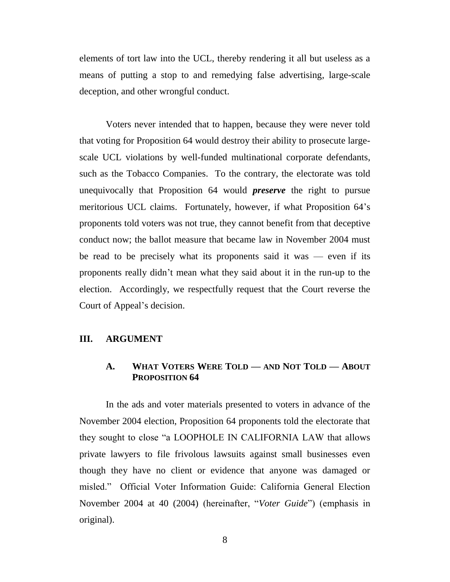elements of tort law into the UCL, thereby rendering it all but useless as a means of putting a stop to and remedying false advertising, large-scale deception, and other wrongful conduct.

Voters never intended that to happen, because they were never told that voting for Proposition 64 would destroy their ability to prosecute largescale UCL violations by well-funded multinational corporate defendants, such as the Tobacco Companies. To the contrary, the electorate was told unequivocally that Proposition 64 would *preserve* the right to pursue meritorious UCL claims. Fortunately, however, if what Proposition 64"s proponents told voters was not true, they cannot benefit from that deceptive conduct now; the ballot measure that became law in November 2004 must be read to be precisely what its proponents said it was  $-$  even if its proponents really didn"t mean what they said about it in the run-up to the election. Accordingly, we respectfully request that the Court reverse the Court of Appeal"s decision.

## **III. ARGUMENT**

## **A. WHAT VOTERS WERE TOLD — AND NOT TOLD — ABOUT PROPOSITION 64**

In the ads and voter materials presented to voters in advance of the November 2004 election, Proposition 64 proponents told the electorate that they sought to close "a LOOPHOLE IN CALIFORNIA LAW that allows private lawyers to file frivolous lawsuits against small businesses even though they have no client or evidence that anyone was damaged or misled." Official Voter Information Guide: California General Election November 2004 at 40 (2004) (hereinafter, "*Voter Guide*") (emphasis in original).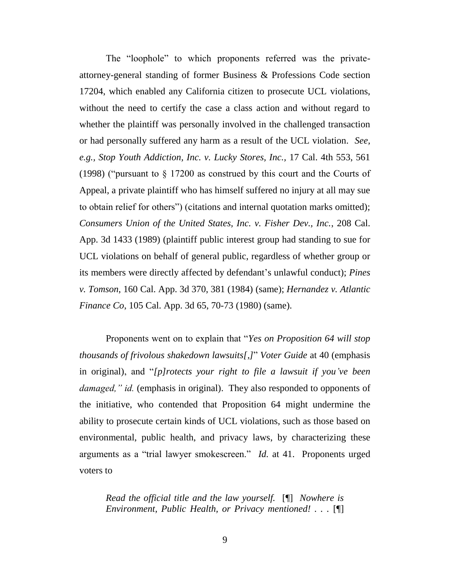The "loophole" to which proponents referred was the privateattorney-general standing of former Business & Professions Code section 17204, which enabled any California citizen to prosecute UCL violations, without the need to certify the case a class action and without regard to whether the plaintiff was personally involved in the challenged transaction or had personally suffered any harm as a result of the UCL violation. *See, e.g., Stop Youth Addiction, Inc. v. Lucky Stores, Inc.,* 17 Cal. 4th 553, 561 (1998) ("pursuant to § 17200 as construed by this court and the Courts of Appeal, a private plaintiff who has himself suffered no injury at all may sue to obtain relief for others") (citations and internal quotation marks omitted); *Consumers Union of the United States, Inc. v. Fisher Dev., Inc.*, 208 Cal. App. 3d 1433 (1989) (plaintiff public interest group had standing to sue for UCL violations on behalf of general public, regardless of whether group or its members were directly affected by defendant"s unlawful conduct); *Pines v. Tomson*, 160 Cal. App. 3d 370, 381 (1984) (same); *Hernandez v. Atlantic Finance Co*, 105 Cal. App. 3d 65, 70-73 (1980) (same).

Proponents went on to explain that "*Yes on Proposition 64 will stop thousands of frivolous shakedown lawsuits[,]*" *Voter Guide* at 40 (emphasis in original), and "*[p]rotects your right to file a lawsuit if you've been damaged," id.* (emphasis in original). They also responded to opponents of the initiative, who contended that Proposition 64 might undermine the ability to prosecute certain kinds of UCL violations, such as those based on environmental, public health, and privacy laws, by characterizing these arguments as a "trial lawyer smokescreen." *Id.* at 41. Proponents urged voters to

*Read the official title and the law yourself.* [¶] *Nowhere is Environment, Public Health, or Privacy mentioned! . . .* [¶]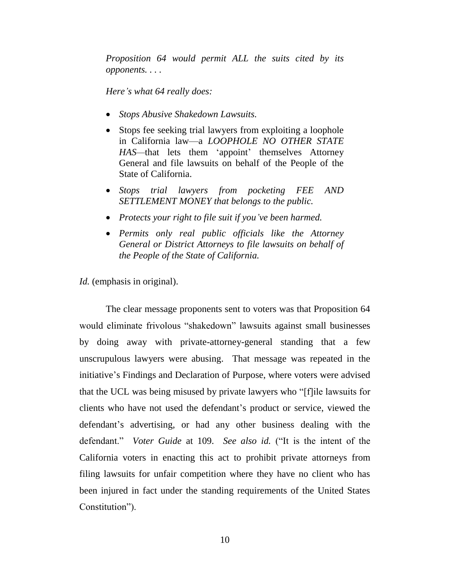*Proposition 64 would permit ALL the suits cited by its opponents. . . .*

*Here's what 64 really does:* 

- *Stops Abusive Shakedown Lawsuits.*
- Stops fee seeking trial lawyers from exploiting a loophole in California law—a *LOOPHOLE NO OTHER STATE HAS—*that lets them "appoint" themselves Attorney General and file lawsuits on behalf of the People of the State of California.
- *Stops trial lawyers from pocketing FEE AND SETTLEMENT MONEY that belongs to the public.*
- *Protects your right to file suit if you've been harmed.*
- *Permits only real public officials like the Attorney General or District Attorneys to file lawsuits on behalf of the People of the State of California.*

*Id.* (emphasis in original).

The clear message proponents sent to voters was that Proposition 64 would eliminate frivolous "shakedown" lawsuits against small businesses by doing away with private-attorney-general standing that a few unscrupulous lawyers were abusing. That message was repeated in the initiative's Findings and Declaration of Purpose, where voters were advised that the UCL was being misused by private lawyers who "[f]ile lawsuits for clients who have not used the defendant"s product or service, viewed the defendant"s advertising, or had any other business dealing with the defendant." *Voter Guide* at 109. *See also id.* ("It is the intent of the California voters in enacting this act to prohibit private attorneys from filing lawsuits for unfair competition where they have no client who has been injured in fact under the standing requirements of the United States Constitution").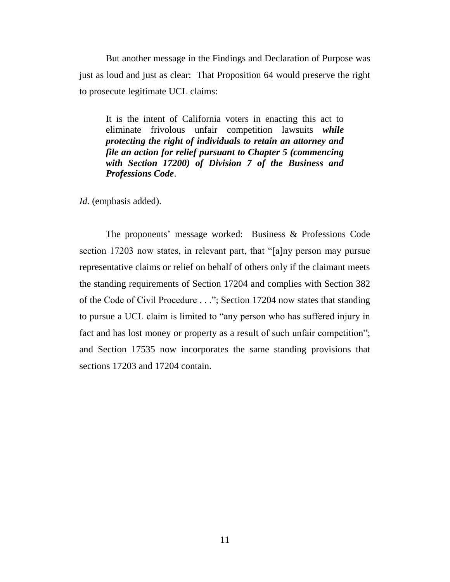But another message in the Findings and Declaration of Purpose was just as loud and just as clear: That Proposition 64 would preserve the right to prosecute legitimate UCL claims:

It is the intent of California voters in enacting this act to eliminate frivolous unfair competition lawsuits *while protecting the right of individuals to retain an attorney and file an action for relief pursuant to Chapter 5 (commencing with Section 17200) of Division 7 of the Business and Professions Code*.

*Id.* (emphasis added).

The proponents" message worked: Business & Professions Code section 17203 now states, in relevant part, that "[a]ny person may pursue representative claims or relief on behalf of others only if the claimant meets the standing requirements of Section 17204 and complies with Section 382 of the Code of Civil Procedure . . ."; Section 17204 now states that standing to pursue a UCL claim is limited to "any person who has suffered injury in fact and has lost money or property as a result of such unfair competition"; and Section 17535 now incorporates the same standing provisions that sections 17203 and 17204 contain.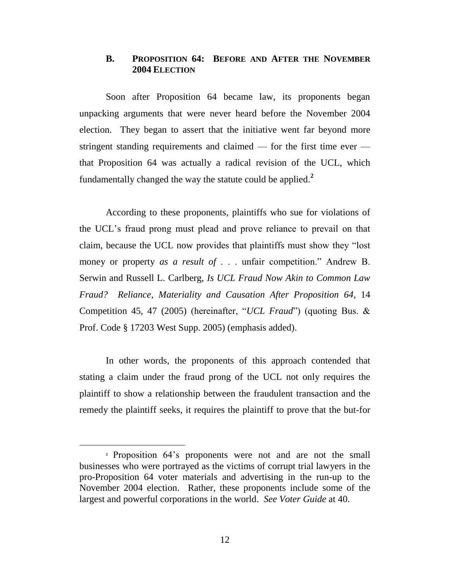## **B. PROPOSITION 64: BEFORE AND AFTER THE NOVEMBER 2004 ELECTION**

Soon after Proposition 64 became law, its proponents began unpacking arguments that were never heard before the November 2004 election. They began to assert that the initiative went far beyond more stringent standing requirements and claimed — for the first time ever that Proposition 64 was actually a radical revision of the UCL, which fundamentally changed the way the statute could be applied. **2**

According to these proponents, plaintiffs who sue for violations of the UCL"s fraud prong must plead and prove reliance to prevail on that claim, because the UCL now provides that plaintiffs must show they "lost money or property *as a result of* . . . unfair competition." Andrew B. Serwin and Russell L. Carlberg, *Is UCL Fraud Now Akin to Common Law Fraud? Reliance, Materiality and Causation After Proposition 64*, 14 Competition 45, 47 (2005) (hereinafter, "*UCL Fraud*") (quoting Bus. & Prof. Code § 17203 West Supp. 2005) (emphasis added).

In other words, the proponents of this approach contended that stating a claim under the fraud prong of the UCL not only requires the plaintiff to show a relationship between the fraudulent transaction and the remedy the plaintiff seeks, it requires the plaintiff to prove that the but-for

 $\overline{a}$ 

**<sup>2</sup>** Proposition 64"s proponents were not and are not the small businesses who were portrayed as the victims of corrupt trial lawyers in the pro-Proposition 64 voter materials and advertising in the run-up to the November 2004 election. Rather, these proponents include some of the largest and powerful corporations in the world. *See Voter Guide* at 40.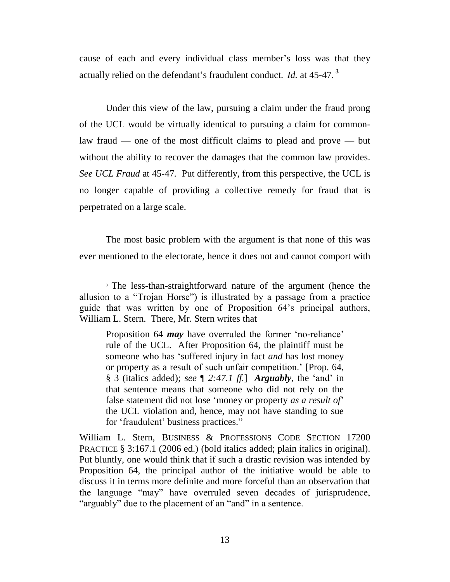cause of each and every individual class member's loss was that they actually relied on the defendant"s fraudulent conduct. *Id.* at 45-47. **<sup>3</sup>**

Under this view of the law, pursuing a claim under the fraud prong of the UCL would be virtually identical to pursuing a claim for commonlaw fraud — one of the most difficult claims to plead and prove — but without the ability to recover the damages that the common law provides. *See UCL Fraud* at 45-47*.* Put differently, from this perspective, the UCL is no longer capable of providing a collective remedy for fraud that is perpetrated on a large scale.

The most basic problem with the argument is that none of this was ever mentioned to the electorate, hence it does not and cannot comport with

 $\overline{a}$ 

Proposition 64 *may* have overruled the former 'no-reliance' rule of the UCL. After Proposition 64, the plaintiff must be someone who has "suffered injury in fact *and* has lost money or property as a result of such unfair competition." [Prop. 64, § 3 (italics added); *see*  $\llbracket 2.47.1 \text{ ff.} \rrbracket$  *Arguably*, the 'and' in that sentence means that someone who did not rely on the false statement did not lose "money or property *as a result of*" the UCL violation and, hence, may not have standing to sue for "fraudulent" business practices."

William L. Stern, BUSINESS & PROFESSIONS CODE SECTION 17200 PRACTICE § 3:167.1 (2006 ed.) (bold italics added; plain italics in original). Put bluntly, one would think that if such a drastic revision was intended by Proposition 64, the principal author of the initiative would be able to discuss it in terms more definite and more forceful than an observation that the language "may" have overruled seven decades of jurisprudence, "arguably" due to the placement of an "and" in a sentence.

**<sup>3</sup>** The less-than-straightforward nature of the argument (hence the allusion to a "Trojan Horse") is illustrated by a passage from a practice guide that was written by one of Proposition 64"s principal authors, William L. Stern. There, Mr. Stern writes that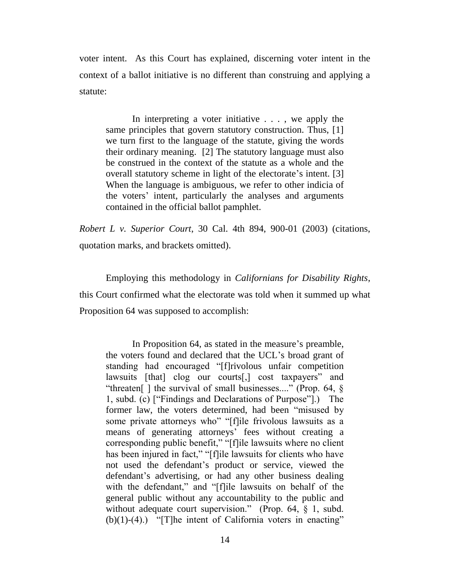voter intent. As this Court has explained, discerning voter intent in the context of a ballot initiative is no different than construing and applying a statute:

In interpreting a voter initiative . . . , we apply the same principles that govern statutory construction. Thus, [1] we turn first to the language of the statute, giving the words their ordinary meaning. [2] The statutory language must also be construed in the context of the statute as a whole and the overall statutory scheme in light of the electorate's intent. [3] When the language is ambiguous, we refer to other indicia of the voters" intent, particularly the analyses and arguments contained in the official ballot pamphlet.

*Robert L v. Superior Court*, 30 Cal. 4th 894, 900-01 (2003) (citations, quotation marks, and brackets omitted).

Employing this methodology in *Californians for Disability Rights,*  this Court confirmed what the electorate was told when it summed up what Proposition 64 was supposed to accomplish:

In Proposition 64, as stated in the measure's preamble, the voters found and declared that the UCL"s broad grant of standing had encouraged "[f]rivolous unfair competition lawsuits [that] clog our courts[,] cost taxpayers" and "threaten[] the survival of small businesses...." (Prop. 64,  $\S$ ) 1, subd. (c) ["Findings and Declarations of Purpose"].) The former law, the voters determined, had been "misused by some private attorneys who" "[f]ile frivolous lawsuits as a means of generating attorneys' fees without creating a corresponding public benefit," "[f]ile lawsuits where no client has been injured in fact," "[f]ile lawsuits for clients who have not used the defendant"s product or service, viewed the defendant's advertising, or had any other business dealing with the defendant," and "[f]ile lawsuits on behalf of the general public without any accountability to the public and without adequate court supervision." (Prop. 64, § 1, subd.  $(b)(1)-(4)$ .) "[T]he intent of California voters in enacting"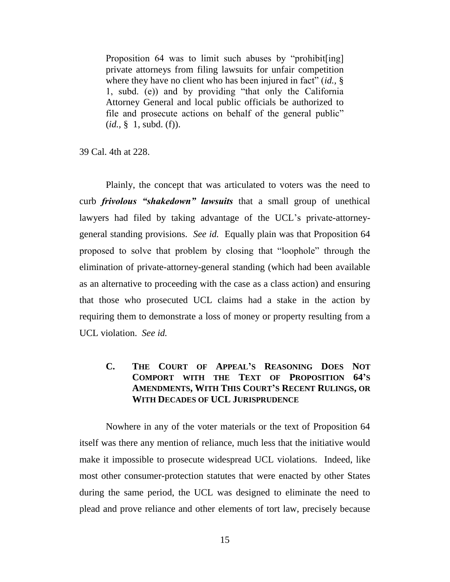Proposition 64 was to limit such abuses by "prohibit[ing] private attorneys from filing lawsuits for unfair competition where they have no client who has been injured in fact" (*id.,* § 1, subd. (e)) and by providing "that only the California Attorney General and local public officials be authorized to file and prosecute actions on behalf of the general public" (*id.,* § 1, subd. (f)).

39 Cal. 4th at 228.

Plainly, the concept that was articulated to voters was the need to curb *frivolous "shakedown" lawsuits* that a small group of unethical lawyers had filed by taking advantage of the UCL's private-attorneygeneral standing provisions. *See id.* Equally plain was that Proposition 64 proposed to solve that problem by closing that "loophole" through the elimination of private-attorney-general standing (which had been available as an alternative to proceeding with the case as a class action) and ensuring that those who prosecuted UCL claims had a stake in the action by requiring them to demonstrate a loss of money or property resulting from a UCL violation. *See id.*

**C. THE COURT OF APPEAL'S REASONING DOES NOT COMPORT WITH THE TEXT OF PROPOSITION 64'S AMENDMENTS, WITH THIS COURT'S RECENT RULINGS, OR WITH DECADES OF UCL JURISPRUDENCE**

Nowhere in any of the voter materials or the text of Proposition 64 itself was there any mention of reliance, much less that the initiative would make it impossible to prosecute widespread UCL violations. Indeed, like most other consumer-protection statutes that were enacted by other States during the same period, the UCL was designed to eliminate the need to plead and prove reliance and other elements of tort law, precisely because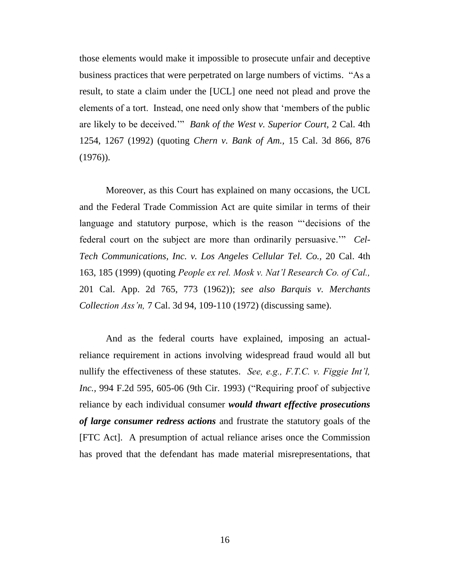those elements would make it impossible to prosecute unfair and deceptive business practices that were perpetrated on large numbers of victims. "As a result, to state a claim under the [UCL] one need not plead and prove the elements of a tort. Instead, one need only show that "members of the public are likely to be deceived."" *Bank of the West v. Superior Court,* 2 Cal. 4th 1254, 1267 (1992) (quoting *Chern v. Bank of Am.,* 15 Cal. 3d 866, 876 (1976)).

Moreover, as this Court has explained on many occasions, the UCL and the Federal Trade Commission Act are quite similar in terms of their language and statutory purpose, which is the reason ""decisions of the federal court on the subject are more than ordinarily persuasive."" *Cel-Tech Communications, Inc. v. Los Angeles Cellular Tel. Co.,* 20 Cal. 4th 163, 185 (1999) (quoting *People ex rel. Mosk v. Nat'l Research Co. of Cal.,*  201 Cal. App. 2d 765, 773 (1962)); *see also Barquis v. Merchants Collection Ass'n,* 7 Cal. 3d 94, 109-110 (1972) (discussing same).

And as the federal courts have explained, imposing an actualreliance requirement in actions involving widespread fraud would all but nullify the effectiveness of these statutes. *See, e.g., F.T.C. v. Figgie Int'l, Inc.,* 994 F.2d 595, 605-06 (9th Cir. 1993) ("Requiring proof of subjective reliance by each individual consumer *would thwart effective prosecutions of large consumer redress actions* and frustrate the statutory goals of the [FTC Act]. A presumption of actual reliance arises once the Commission has proved that the defendant has made material misrepresentations, that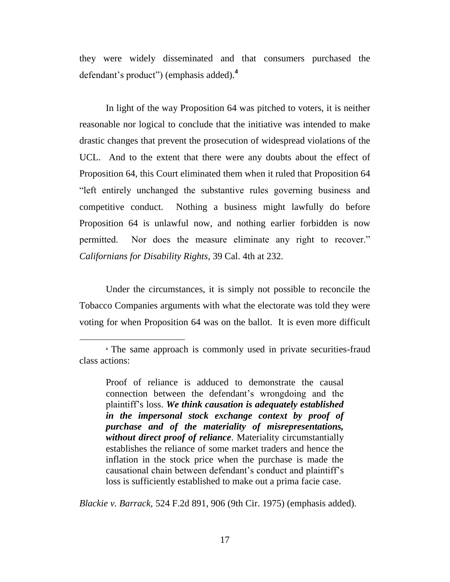they were widely disseminated and that consumers purchased the defendant"s product") (emphasis added). **4**

In light of the way Proposition 64 was pitched to voters, it is neither reasonable nor logical to conclude that the initiative was intended to make drastic changes that prevent the prosecution of widespread violations of the UCL. And to the extent that there were any doubts about the effect of Proposition 64, this Court eliminated them when it ruled that Proposition 64 "left entirely unchanged the substantive rules governing business and competitive conduct. Nothing a business might lawfully do before Proposition 64 is unlawful now, and nothing earlier forbidden is now permitted. Nor does the measure eliminate any right to recover." *Californians for Disability Rights,* 39 Cal. 4th at 232.

Under the circumstances, it is simply not possible to reconcile the Tobacco Companies arguments with what the electorate was told they were voting for when Proposition 64 was on the ballot. It is even more difficult

 $\overline{a}$ 

*Blackie v. Barrack,* 524 F.2d 891, 906 (9th Cir. 1975) (emphasis added).

**<sup>4</sup>** The same approach is commonly used in private securities-fraud class actions:

Proof of reliance is adduced to demonstrate the causal connection between the defendant"s wrongdoing and the plaintiff"s loss. *We think causation is adequately established in the impersonal stock exchange context by proof of purchase and of the materiality of misrepresentations, without direct proof of reliance*. Materiality circumstantially establishes the reliance of some market traders and hence the inflation in the stock price when the purchase is made the causational chain between defendant"s conduct and plaintiff"s loss is sufficiently established to make out a prima facie case.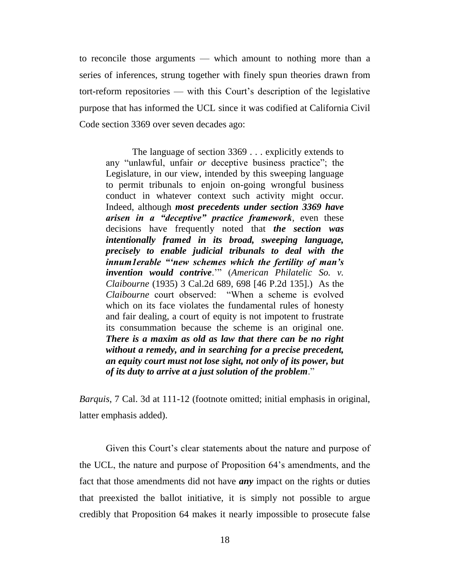to reconcile those arguments — which amount to nothing more than a series of inferences, strung together with finely spun theories drawn from tort-reform repositories — with this Court"s description of the legislative purpose that has informed the UCL since it was codified at California Civil Code section 3369 over seven decades ago:

The language of section 3369 . . . explicitly extends to any "unlawful, unfair *or* deceptive business practice"; the Legislature, in our view, intended by this sweeping language to permit tribunals to enjoin on-going wrongful business conduct in whatever context such activity might occur. Indeed, although *most precedents under section 3369 have arisen in a "deceptive" practice framework*, even these decisions have frequently noted that *the section was intentionally framed in its broad, sweeping language, precisely to enable judicial tribunals to deal with the innum1erable ""new schemes which the fertility of man"s invention would contrive*."" (*American Philatelic So. v. Claibourne* (1935) 3 Cal.2d 689, 698 [46 P.2d 135].) As the *Claibourne* court observed: "When a scheme is evolved which on its face violates the fundamental rules of honesty and fair dealing, a court of equity is not impotent to frustrate its consummation because the scheme is an original one. *There is a maxim as old as law that there can be no right without a remedy, and in searching for a precise precedent, an equity court must not lose sight, not only of its power, but of its duty to arrive at a just solution of the problem*."

*Barquis*, 7 Cal. 3d at 111-12 (footnote omitted; initial emphasis in original, latter emphasis added).

Given this Court's clear statements about the nature and purpose of the UCL, the nature and purpose of Proposition 64"s amendments, and the fact that those amendments did not have *any* impact on the rights or duties that preexisted the ballot initiative, it is simply not possible to argue credibly that Proposition 64 makes it nearly impossible to prosecute false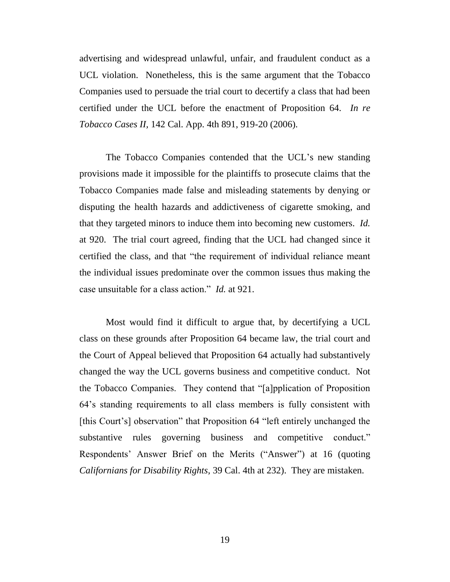advertising and widespread unlawful, unfair, and fraudulent conduct as a UCL violation. Nonetheless, this is the same argument that the Tobacco Companies used to persuade the trial court to decertify a class that had been certified under the UCL before the enactment of Proposition 64. *In re Tobacco Cases II,* 142 Cal. App. 4th 891, 919-20 (2006).

The Tobacco Companies contended that the UCL's new standing provisions made it impossible for the plaintiffs to prosecute claims that the Tobacco Companies made false and misleading statements by denying or disputing the health hazards and addictiveness of cigarette smoking, and that they targeted minors to induce them into becoming new customers. *Id.* at 920. The trial court agreed, finding that the UCL had changed since it certified the class, and that "the requirement of individual reliance meant the individual issues predominate over the common issues thus making the case unsuitable for a class action." *Id.* at 921.

Most would find it difficult to argue that, by decertifying a UCL class on these grounds after Proposition 64 became law, the trial court and the Court of Appeal believed that Proposition 64 actually had substantively changed the way the UCL governs business and competitive conduct. Not the Tobacco Companies. They contend that "[a]pplication of Proposition 64"s standing requirements to all class members is fully consistent with [this Court's] observation" that Proposition 64 "left entirely unchanged the substantive rules governing business and competitive conduct." Respondents" Answer Brief on the Merits ("Answer") at 16 (quoting *Californians for Disability Rights,* 39 Cal. 4th at 232). They are mistaken.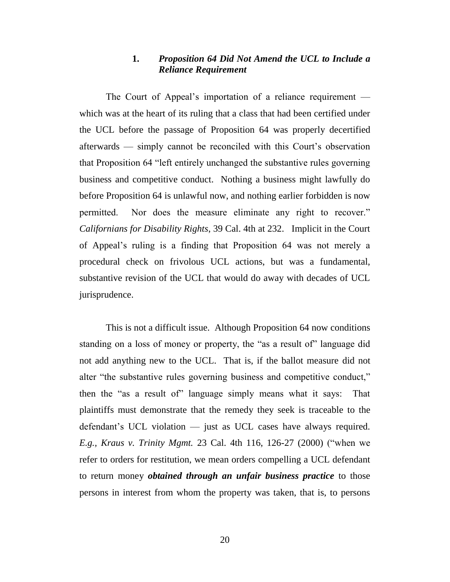## **1.** *Proposition 64 Did Not Amend the UCL to Include a Reliance Requirement*

The Court of Appeal's importation of a reliance requirement which was at the heart of its ruling that a class that had been certified under the UCL before the passage of Proposition 64 was properly decertified afterwards — simply cannot be reconciled with this Court's observation that Proposition 64 "left entirely unchanged the substantive rules governing business and competitive conduct. Nothing a business might lawfully do before Proposition 64 is unlawful now, and nothing earlier forbidden is now permitted. Nor does the measure eliminate any right to recover." *Californians for Disability Rights*, 39 Cal. 4th at 232. Implicit in the Court of Appeal"s ruling is a finding that Proposition 64 was not merely a procedural check on frivolous UCL actions, but was a fundamental, substantive revision of the UCL that would do away with decades of UCL jurisprudence.

This is not a difficult issue. Although Proposition 64 now conditions standing on a loss of money or property, the "as a result of" language did not add anything new to the UCL. That is, if the ballot measure did not alter "the substantive rules governing business and competitive conduct," then the "as a result of" language simply means what it says: That plaintiffs must demonstrate that the remedy they seek is traceable to the defendant"s UCL violation — just as UCL cases have always required. *E.g., Kraus v. Trinity Mgmt.* 23 Cal. 4th 116, 126-27 (2000) ("when we refer to orders for restitution, we mean orders compelling a UCL defendant to return money *obtained through an unfair business practice* to those persons in interest from whom the property was taken, that is, to persons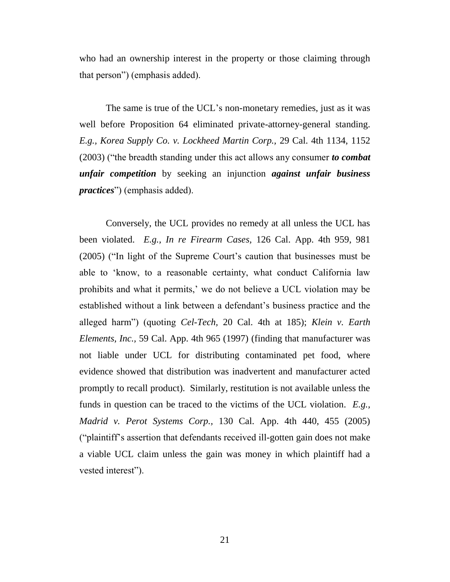who had an ownership interest in the property or those claiming through that person") (emphasis added).

The same is true of the UCL's non-monetary remedies, just as it was well before Proposition 64 eliminated private-attorney-general standing. *E.g., Korea Supply Co. v. Lockheed Martin Corp.,* 29 Cal. 4th 1134, 1152 (2003) ("the breadth standing under this act allows any consumer *to combat unfair competition* by seeking an injunction *against unfair business practices*") (emphasis added).

Conversely, the UCL provides no remedy at all unless the UCL has been violated. *E.g., In re Firearm Cases,* 126 Cal. App. 4th 959, 981 (2005) ("In light of the Supreme Court"s caution that businesses must be able to "know, to a reasonable certainty, what conduct California law prohibits and what it permits," we do not believe a UCL violation may be established without a link between a defendant"s business practice and the alleged harm") (quoting *Cel-Tech,* 20 Cal. 4th at 185); *Klein v. Earth Elements, Inc.,* 59 Cal. App. 4th 965 (1997) (finding that manufacturer was not liable under UCL for distributing contaminated pet food, where evidence showed that distribution was inadvertent and manufacturer acted promptly to recall product). Similarly, restitution is not available unless the funds in question can be traced to the victims of the UCL violation. *E.g., Madrid v. Perot Systems Corp.,* 130 Cal. App. 4th 440, 455 (2005) ("plaintiff"s assertion that defendants received ill-gotten gain does not make a viable UCL claim unless the gain was money in which plaintiff had a vested interest").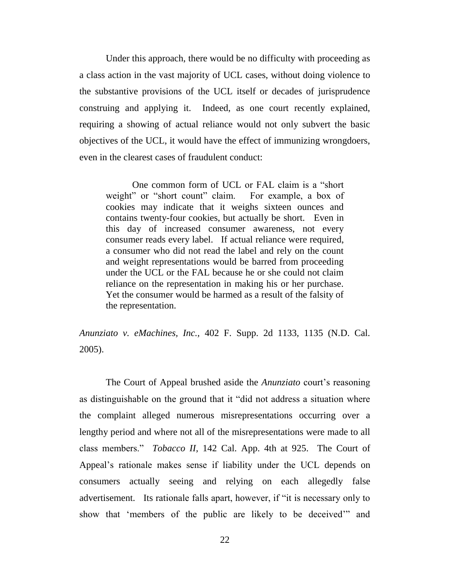Under this approach, there would be no difficulty with proceeding as a class action in the vast majority of UCL cases, without doing violence to the substantive provisions of the UCL itself or decades of jurisprudence construing and applying it. Indeed, as one court recently explained, requiring a showing of actual reliance would not only subvert the basic objectives of the UCL, it would have the effect of immunizing wrongdoers, even in the clearest cases of fraudulent conduct:

One common form of UCL or FAL claim is a "short weight" or "short count" claim. For example, a box of cookies may indicate that it weighs sixteen ounces and contains twenty-four cookies, but actually be short. Even in this day of increased consumer awareness, not every consumer reads every label. If actual reliance were required, a consumer who did not read the label and rely on the count and weight representations would be barred from proceeding under the UCL or the FAL because he or she could not claim reliance on the representation in making his or her purchase. Yet the consumer would be harmed as a result of the falsity of the representation.

*Anunziato v. eMachines, Inc.,* 402 F. Supp. 2d 1133, 1135 (N.D. Cal. 2005).

The Court of Appeal brushed aside the *Anunziato* court's reasoning as distinguishable on the ground that it "did not address a situation where the complaint alleged numerous misrepresentations occurring over a lengthy period and where not all of the misrepresentations were made to all class members." *Tobacco II,* 142 Cal. App. 4th at 925. The Court of Appeal"s rationale makes sense if liability under the UCL depends on consumers actually seeing and relying on each allegedly false advertisement. Its rationale falls apart, however, if "it is necessary only to show that "members of the public are likely to be deceived"" and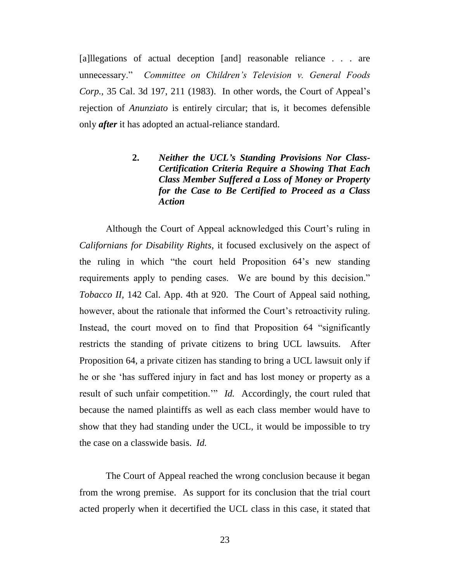[a]llegations of actual deception [and] reasonable reliance . . . are unnecessary." *Committee on Children's Television v. General Foods Corp.*, 35 Cal. 3d 197, 211 (1983). In other words, the Court of Appeal's rejection of *Anunziato* is entirely circular; that is, it becomes defensible only *after* it has adopted an actual-reliance standard.

> **2.** *Neither the UCL"s Standing Provisions Nor Class-Certification Criteria Require a Showing That Each Class Member Suffered a Loss of Money or Property for the Case to Be Certified to Proceed as a Class Action*

Although the Court of Appeal acknowledged this Court's ruling in *Californians for Disability Rights,* it focused exclusively on the aspect of the ruling in which "the court held Proposition 64"s new standing requirements apply to pending cases. We are bound by this decision." *Tobacco II,* 142 Cal. App. 4th at 920. The Court of Appeal said nothing, however, about the rationale that informed the Court's retroactivity ruling. Instead, the court moved on to find that Proposition 64 "significantly restricts the standing of private citizens to bring UCL lawsuits. After Proposition 64, a private citizen has standing to bring a UCL lawsuit only if he or she "has suffered injury in fact and has lost money or property as a result of such unfair competition." *Id.* Accordingly, the court ruled that because the named plaintiffs as well as each class member would have to show that they had standing under the UCL, it would be impossible to try the case on a classwide basis. *Id.*

The Court of Appeal reached the wrong conclusion because it began from the wrong premise. As support for its conclusion that the trial court acted properly when it decertified the UCL class in this case, it stated that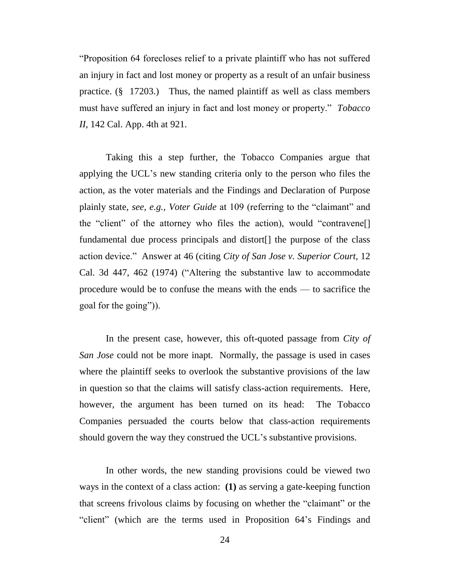"Proposition 64 forecloses relief to a private plaintiff who has not suffered an injury in fact and lost money or property as a result of an unfair business practice. (§ 17203.) Thus, the named plaintiff as well as class members must have suffered an injury in fact and lost money or property." *Tobacco II*, 142 Cal. App. 4th at 921.

Taking this a step further, the Tobacco Companies argue that applying the UCL"s new standing criteria only to the person who files the action, as the voter materials and the Findings and Declaration of Purpose plainly state, *see, e.g., Voter Guide* at 109 (referring to the "claimant" and the "client" of the attorney who files the action), would "contravene[] fundamental due process principals and distort[] the purpose of the class action device." Answer at 46 (citing *City of San Jose v. Superior Court,* 12 Cal. 3d 447, 462 (1974) ("Altering the substantive law to accommodate procedure would be to confuse the means with the ends — to sacrifice the goal for the going")).

In the present case, however, this oft-quoted passage from *City of San Jose* could not be more inapt. Normally, the passage is used in cases where the plaintiff seeks to overlook the substantive provisions of the law in question so that the claims will satisfy class-action requirements. Here, however, the argument has been turned on its head: The Tobacco Companies persuaded the courts below that class-action requirements should govern the way they construed the UCL"s substantive provisions.

In other words, the new standing provisions could be viewed two ways in the context of a class action: **(1)** as serving a gate-keeping function that screens frivolous claims by focusing on whether the "claimant" or the "client" (which are the terms used in Proposition 64"s Findings and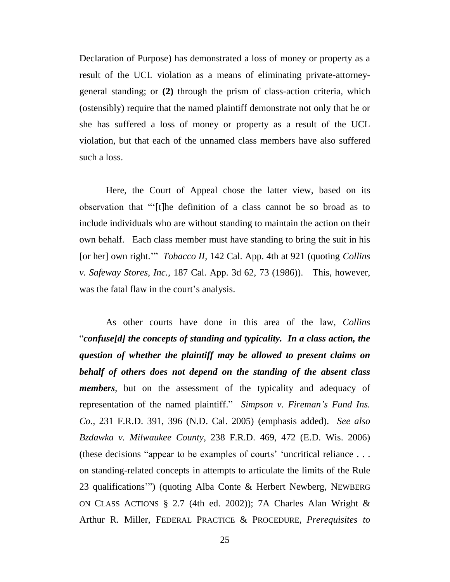Declaration of Purpose) has demonstrated a loss of money or property as a result of the UCL violation as a means of eliminating private-attorneygeneral standing; or **(2)** through the prism of class-action criteria, which (ostensibly) require that the named plaintiff demonstrate not only that he or she has suffered a loss of money or property as a result of the UCL violation, but that each of the unnamed class members have also suffered such a loss.

Here, the Court of Appeal chose the latter view, based on its observation that ""[t]he definition of a class cannot be so broad as to include individuals who are without standing to maintain the action on their own behalf. Each class member must have standing to bring the suit in his [or her] own right."" *Tobacco II,* 142 Cal. App. 4th at 921 (quoting *Collins v. Safeway Stores, Inc.,* 187 Cal. App. 3d 62, 73 (1986)). This, however, was the fatal flaw in the court's analysis.

As other courts have done in this area of the law, *Collins*  "*confuse[d] the concepts of standing and typicality. In a class action, the question of whether the plaintiff may be allowed to present claims on behalf of others does not depend on the standing of the absent class members*, but on the assessment of the typicality and adequacy of representation of the named plaintiff." *Simpson v. Fireman's Fund Ins. Co.,* 231 F.R.D. 391, 396 (N.D. Cal. 2005) (emphasis added). *See also Bzdawka v. Milwaukee County*, 238 F.R.D. 469, 472 (E.D. Wis. 2006) (these decisions "appear to be examples of courts' 'uncritical reliance  $\dots$ on standing-related concepts in attempts to articulate the limits of the Rule 23 qualifications"") (quoting Alba Conte & Herbert Newberg, NEWBERG ON CLASS ACTIONS § 2.7 (4th ed. 2002)); 7A Charles Alan Wright & Arthur R. Miller, FEDERAL PRACTICE & PROCEDURE, *Prerequisites to*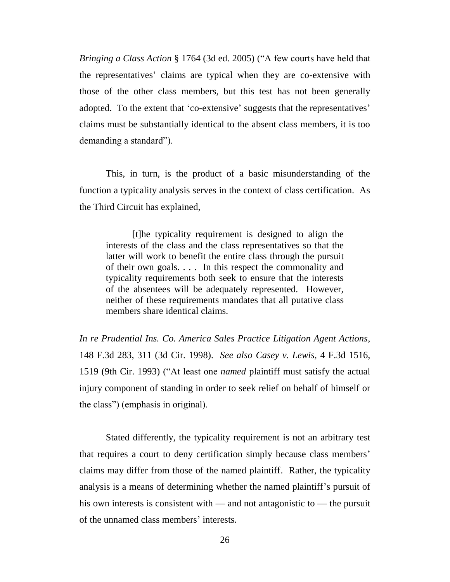*Bringing a Class Action* § 1764 (3d ed. 2005) ("A few courts have held that the representatives" claims are typical when they are co-extensive with those of the other class members, but this test has not been generally adopted. To the extent that 'co-extensive' suggests that the representatives' claims must be substantially identical to the absent class members, it is too demanding a standard").

This, in turn, is the product of a basic misunderstanding of the function a typicality analysis serves in the context of class certification. As the Third Circuit has explained,

[t]he typicality requirement is designed to align the interests of the class and the class representatives so that the latter will work to benefit the entire class through the pursuit of their own goals. . . . In this respect the commonality and typicality requirements both seek to ensure that the interests of the absentees will be adequately represented. However, neither of these requirements mandates that all putative class members share identical claims.

*In re Prudential Ins. Co. America Sales Practice Litigation Agent Actions*, 148 F.3d 283, 311 (3d Cir. 1998). *See also Casey v. Lewis,* 4 F.3d 1516, 1519 (9th Cir. 1993) ("At least one *named* plaintiff must satisfy the actual injury component of standing in order to seek relief on behalf of himself or the class") (emphasis in original).

Stated differently, the typicality requirement is not an arbitrary test that requires a court to deny certification simply because class members" claims may differ from those of the named plaintiff. Rather, the typicality analysis is a means of determining whether the named plaintiff"s pursuit of his own interests is consistent with — and not antagonistic to — the pursuit of the unnamed class members" interests.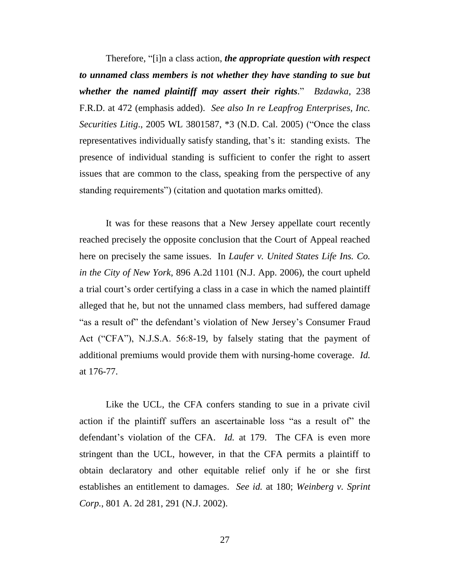Therefore, "[i]n a class action, *the appropriate question with respect to unnamed class members is not whether they have standing to sue but whether the named plaintiff may assert their rights*." *Bzdawka*, 238 F.R.D. at 472 (emphasis added). *See also In re Leapfrog Enterprises, Inc. Securities Litig*., 2005 WL 3801587, \*3 (N.D. Cal. 2005) ("Once the class representatives individually satisfy standing, that"s it: standing exists. The presence of individual standing is sufficient to confer the right to assert issues that are common to the class, speaking from the perspective of any standing requirements") (citation and quotation marks omitted).

It was for these reasons that a New Jersey appellate court recently reached precisely the opposite conclusion that the Court of Appeal reached here on precisely the same issues. In *Laufer v. United States Life Ins. Co. in the City of New York,* 896 A.2d 1101 (N.J. App. 2006), the court upheld a trial court's order certifying a class in a case in which the named plaintiff alleged that he, but not the unnamed class members, had suffered damage "as a result of" the defendant's violation of New Jersey's Consumer Fraud Act ("CFA"), N.J.S.A. 56:8-19, by falsely stating that the payment of additional premiums would provide them with nursing-home coverage. *Id.* at 176-77.

Like the UCL, the CFA confers standing to sue in a private civil action if the plaintiff suffers an ascertainable loss "as a result of" the defendant's violation of the CFA. *Id.* at 179. The CFA is even more stringent than the UCL, however, in that the CFA permits a plaintiff to obtain declaratory and other equitable relief only if he or she first establishes an entitlement to damages. *See id.* at 180; *Weinberg v. Sprint Corp.*, 801 A. 2d 281, 291 (N.J. 2002).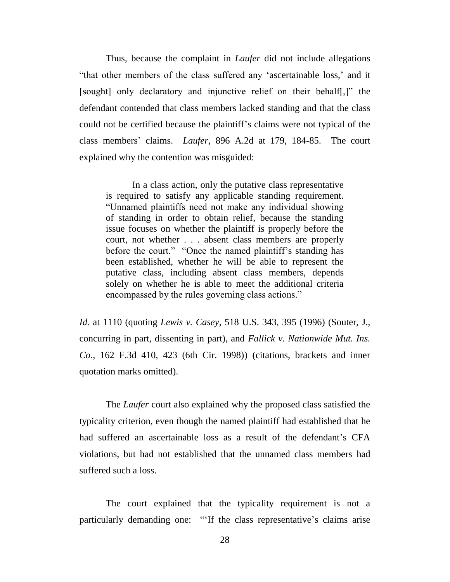Thus, because the complaint in *Laufer* did not include allegations "that other members of the class suffered any "ascertainable loss," and it [sought] only declaratory and injunctive relief on their behalf[,]" the defendant contended that class members lacked standing and that the class could not be certified because the plaintiff"s claims were not typical of the class members" claims. *Laufer,* 896 A.2d at 179, 184-85. The court explained why the contention was misguided:

In a class action, only the putative class representative is required to satisfy any applicable standing requirement. "Unnamed plaintiffs need not make any individual showing of standing in order to obtain relief, because the standing issue focuses on whether the plaintiff is properly before the court, not whether . . . absent class members are properly before the court." "Once the named plaintiff's standing has been established, whether he will be able to represent the putative class, including absent class members, depends solely on whether he is able to meet the additional criteria encompassed by the rules governing class actions."

*Id.* at 1110 (quoting *Lewis v. Casey,* 518 U.S. 343, 395 (1996) (Souter, J., concurring in part, dissenting in part), and *Fallick v. Nationwide Mut. Ins. Co.,* 162 F.3d 410, 423 (6th Cir. 1998)) (citations, brackets and inner quotation marks omitted).

The *Laufer* court also explained why the proposed class satisfied the typicality criterion, even though the named plaintiff had established that he had suffered an ascertainable loss as a result of the defendant's CFA violations, but had not established that the unnamed class members had suffered such a loss.

The court explained that the typicality requirement is not a particularly demanding one: ""If the class representative's claims arise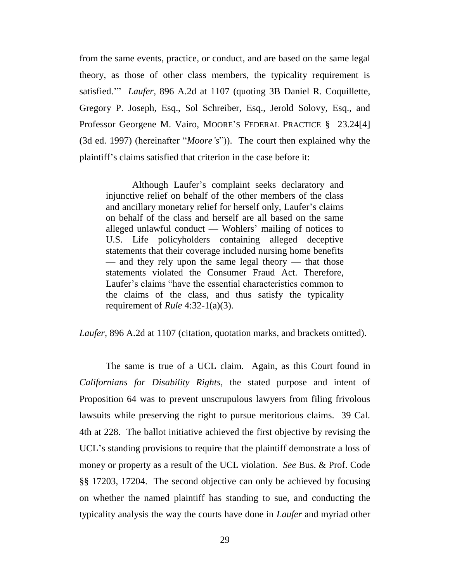from the same events, practice, or conduct, and are based on the same legal theory, as those of other class members, the typicality requirement is satisfied."" *Laufer,* 896 A.2d at 1107 (quoting 3B Daniel R. Coquillette, Gregory P. Joseph, Esq., Sol Schreiber, Esq., Jerold Solovy, Esq., and Professor Georgene M. Vairo, MOORE'S FEDERAL PRACTICE § 23.24[4] (3d ed. 1997) (hereinafter "*Moore's*")). The court then explained why the plaintiff"s claims satisfied that criterion in the case before it:

Although Laufer"s complaint seeks declaratory and injunctive relief on behalf of the other members of the class and ancillary monetary relief for herself only, Laufer's claims on behalf of the class and herself are all based on the same alleged unlawful conduct — Wohlers' mailing of notices to U.S. Life policyholders containing alleged deceptive statements that their coverage included nursing home benefits — and they rely upon the same legal theory — that those statements violated the Consumer Fraud Act. Therefore, Laufer"s claims "have the essential characteristics common to the claims of the class, and thus satisfy the typicality requirement of *Rule* 4:32-1(a)(3).

*Laufer,* 896 A.2d at 1107 (citation, quotation marks, and brackets omitted).

The same is true of a UCL claim. Again, as this Court found in *Californians for Disability Rights*, the stated purpose and intent of Proposition 64 was to prevent unscrupulous lawyers from filing frivolous lawsuits while preserving the right to pursue meritorious claims. 39 Cal. 4th at 228. The ballot initiative achieved the first objective by revising the UCL's standing provisions to require that the plaintiff demonstrate a loss of money or property as a result of the UCL violation. *See* Bus. & Prof. Code §§ 17203, 17204. The second objective can only be achieved by focusing on whether the named plaintiff has standing to sue, and conducting the typicality analysis the way the courts have done in *Laufer* and myriad other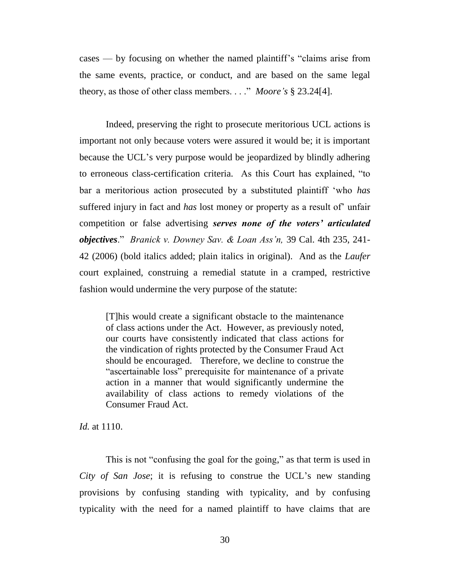cases — by focusing on whether the named plaintiff"s "claims arise from the same events, practice, or conduct, and are based on the same legal theory, as those of other class members. . . ." *Moore's* § 23.24[4].

Indeed, preserving the right to prosecute meritorious UCL actions is important not only because voters were assured it would be; it is important because the UCL"s very purpose would be jeopardized by blindly adhering to erroneous class-certification criteria. As this Court has explained, "to bar a meritorious action prosecuted by a substituted plaintiff "who *has*  suffered injury in fact and *has* lost money or property as a result of unfair competition or false advertising *serves none of the voters" articulated objectives*." *Branick v. Downey Sav. & Loan Ass'n,* 39 Cal. 4th 235, 241- 42 (2006) (bold italics added; plain italics in original). And as the *Laufer* court explained, construing a remedial statute in a cramped, restrictive fashion would undermine the very purpose of the statute:

[T]his would create a significant obstacle to the maintenance of class actions under the Act. However, as previously noted, our courts have consistently indicated that class actions for the vindication of rights protected by the Consumer Fraud Act should be encouraged. Therefore, we decline to construe the "ascertainable loss" prerequisite for maintenance of a private action in a manner that would significantly undermine the availability of class actions to remedy violations of the Consumer Fraud Act.

*Id.* at 1110.

This is not "confusing the goal for the going," as that term is used in *City of San Jose*; it is refusing to construe the UCL"s new standing provisions by confusing standing with typicality, and by confusing typicality with the need for a named plaintiff to have claims that are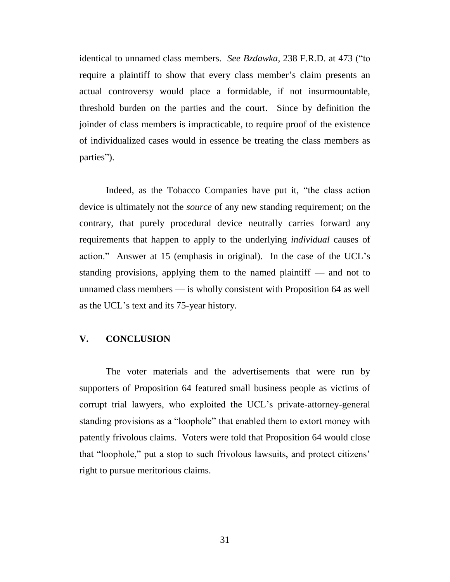identical to unnamed class members. *See Bzdawka,* 238 F.R.D. at 473 ("to require a plaintiff to show that every class member's claim presents an actual controversy would place a formidable, if not insurmountable, threshold burden on the parties and the court. Since by definition the joinder of class members is impracticable, to require proof of the existence of individualized cases would in essence be treating the class members as parties").

Indeed, as the Tobacco Companies have put it, "the class action device is ultimately not the *source* of any new standing requirement; on the contrary, that purely procedural device neutrally carries forward any requirements that happen to apply to the underlying *individual* causes of action." Answer at 15 (emphasis in original). In the case of the UCL"s standing provisions, applying them to the named plaintiff — and not to unnamed class members — is wholly consistent with Proposition 64 as well as the UCL"s text and its 75-year history.

## **V. CONCLUSION**

The voter materials and the advertisements that were run by supporters of Proposition 64 featured small business people as victims of corrupt trial lawyers, who exploited the UCL"s private-attorney-general standing provisions as a "loophole" that enabled them to extort money with patently frivolous claims. Voters were told that Proposition 64 would close that "loophole," put a stop to such frivolous lawsuits, and protect citizens" right to pursue meritorious claims.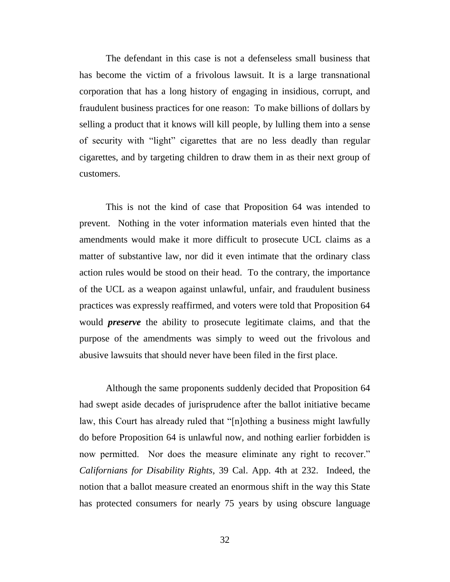The defendant in this case is not a defenseless small business that has become the victim of a frivolous lawsuit. It is a large transnational corporation that has a long history of engaging in insidious, corrupt, and fraudulent business practices for one reason: To make billions of dollars by selling a product that it knows will kill people, by lulling them into a sense of security with "light" cigarettes that are no less deadly than regular cigarettes, and by targeting children to draw them in as their next group of customers.

This is not the kind of case that Proposition 64 was intended to prevent. Nothing in the voter information materials even hinted that the amendments would make it more difficult to prosecute UCL claims as a matter of substantive law, nor did it even intimate that the ordinary class action rules would be stood on their head. To the contrary, the importance of the UCL as a weapon against unlawful, unfair, and fraudulent business practices was expressly reaffirmed, and voters were told that Proposition 64 would *preserve* the ability to prosecute legitimate claims, and that the purpose of the amendments was simply to weed out the frivolous and abusive lawsuits that should never have been filed in the first place.

Although the same proponents suddenly decided that Proposition 64 had swept aside decades of jurisprudence after the ballot initiative became law, this Court has already ruled that "[n]othing a business might lawfully do before Proposition 64 is unlawful now, and nothing earlier forbidden is now permitted. Nor does the measure eliminate any right to recover." *Californians for Disability Rights,* 39 Cal. App. 4th at 232. Indeed, the notion that a ballot measure created an enormous shift in the way this State has protected consumers for nearly 75 years by using obscure language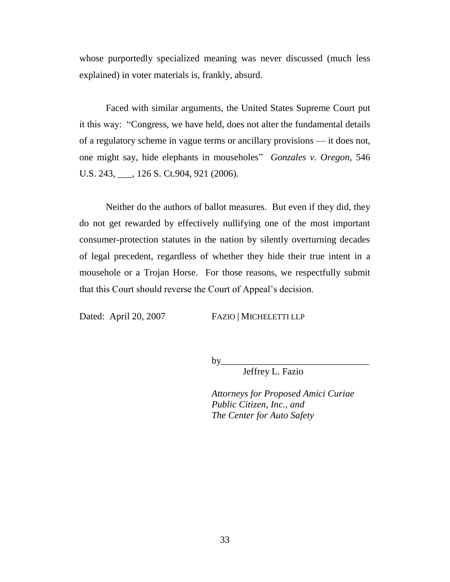whose purportedly specialized meaning was never discussed (much less explained) in voter materials is, frankly, absurd.

Faced with similar arguments, the United States Supreme Court put it this way: "Congress, we have held, does not alter the fundamental details of a regulatory scheme in vague terms or ancillary provisions — it does not, one might say, hide elephants in mouseholes" *Gonzales v. Oregon,* 546 U.S. 243, \_\_\_, 126 S. Ct.904, 921 (2006).

Neither do the authors of ballot measures. But even if they did, they do not get rewarded by effectively nullifying one of the most important consumer-protection statutes in the nation by silently overturning decades of legal precedent, regardless of whether they hide their true intent in a mousehole or a Trojan Horse. For those reasons, we respectfully submit that this Court should reverse the Court of Appeal"s decision.

Dated: April 20, 2007 FAZIO | MICHELETTI LLP

by\_\_\_\_\_\_\_\_\_\_\_\_\_\_\_\_\_\_\_\_\_\_\_\_\_\_\_\_\_\_\_

Jeffrey L. Fazio

*Attorneys for Proposed Amici Curiae Public Citizen, Inc., and The Center for Auto Safety*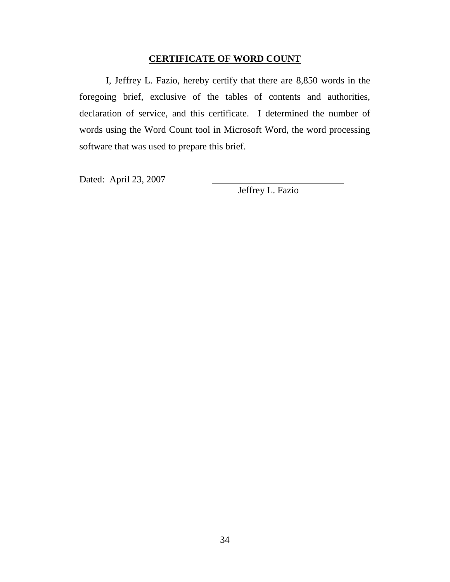# **CERTIFICATE OF WORD COUNT**

I, Jeffrey L. Fazio, hereby certify that there are 8,850 words in the foregoing brief, exclusive of the tables of contents and authorities, declaration of service, and this certificate. I determined the number of words using the Word Count tool in Microsoft Word, the word processing software that was used to prepare this brief.

Dated: April 23, 2007

Jeffrey L. Fazio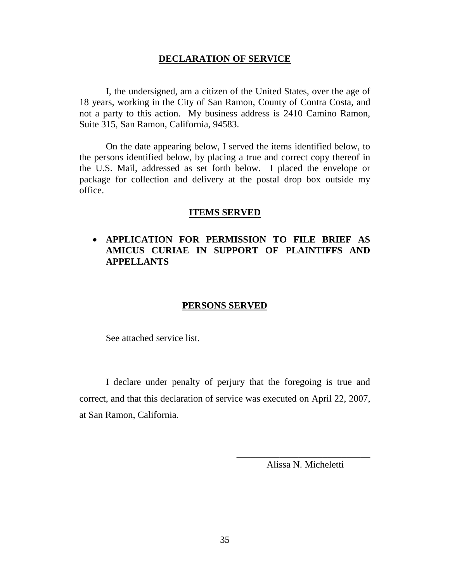#### **DECLARATION OF SERVICE**

I, the undersigned, am a citizen of the United States, over the age of 18 years, working in the City of San Ramon, County of Contra Costa, and not a party to this action. My business address is 2410 Camino Ramon, Suite 315, San Ramon, California, 94583.

On the date appearing below, I served the items identified below, to the persons identified below, by placing a true and correct copy thereof in the U.S. Mail, addressed as set forth below. I placed the envelope or package for collection and delivery at the postal drop box outside my office.

#### **ITEMS SERVED**

# **APPLICATION FOR PERMISSION TO FILE BRIEF AS AMICUS CURIAE IN SUPPORT OF PLAINTIFFS AND APPELLANTS**

#### **PERSONS SERVED**

See attached service list.

I declare under penalty of perjury that the foregoing is true and correct, and that this declaration of service was executed on April 22, 2007, at San Ramon, California.

> \_\_\_\_\_\_\_\_\_\_\_\_\_\_\_\_\_\_\_\_\_\_\_\_\_\_\_\_ Alissa N. Micheletti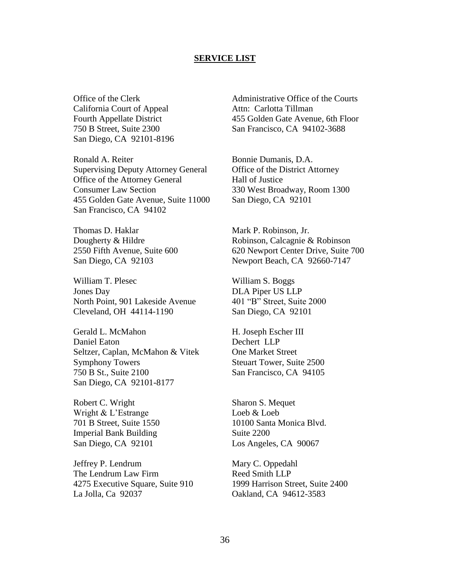#### **SERVICE LIST**

Office of the Clerk California Court of Appeal Fourth Appellate District 750 B Street, Suite 2300 San Diego, CA 92101-8196

Ronald A. Reiter Supervising Deputy Attorney General Office of the Attorney General Consumer Law Section 455 Golden Gate Avenue, Suite 11000 San Francisco, CA 94102

Thomas D. Haklar Dougherty & Hildre 2550 Fifth Avenue, Suite 600 San Diego, CA 92103

William T. Plesec Jones Day North Point, 901 Lakeside Avenue Cleveland, OH 44114-1190

Gerald L. McMahon Daniel Eaton Seltzer, Caplan, McMahon & Vitek Symphony Towers 750 B St., Suite 2100 San Diego, CA 92101-8177

Robert C. Wright Wright & L"Estrange 701 B Street, Suite 1550 Imperial Bank Building San Diego, CA 92101

Jeffrey P. Lendrum The Lendrum Law Firm 4275 Executive Square, Suite 910 La Jolla, Ca 92037

Administrative Office of the Courts Attn: Carlotta Tillman 455 Golden Gate Avenue, 6th Floor San Francisco, CA 94102-3688

Bonnie Dumanis, D.A. Office of the District Attorney Hall of Justice 330 West Broadway, Room 1300 San Diego, CA 92101

Mark P. Robinson, Jr. Robinson, Calcagnie & Robinson 620 Newport Center Drive, Suite 700 Newport Beach, CA 92660-7147

William S. Boggs DLA Piper US LLP 401 "B" Street, Suite 2000 San Diego, CA 92101

H. Joseph Escher III Dechert LLP One Market Street Steuart Tower, Suite 2500 San Francisco, CA 94105

Sharon S. Mequet Loeb & Loeb 10100 Santa Monica Blvd. Suite 2200 Los Angeles, CA 90067

Mary C. Oppedahl Reed Smith LLP 1999 Harrison Street, Suite 2400 Oakland, CA 94612-3583